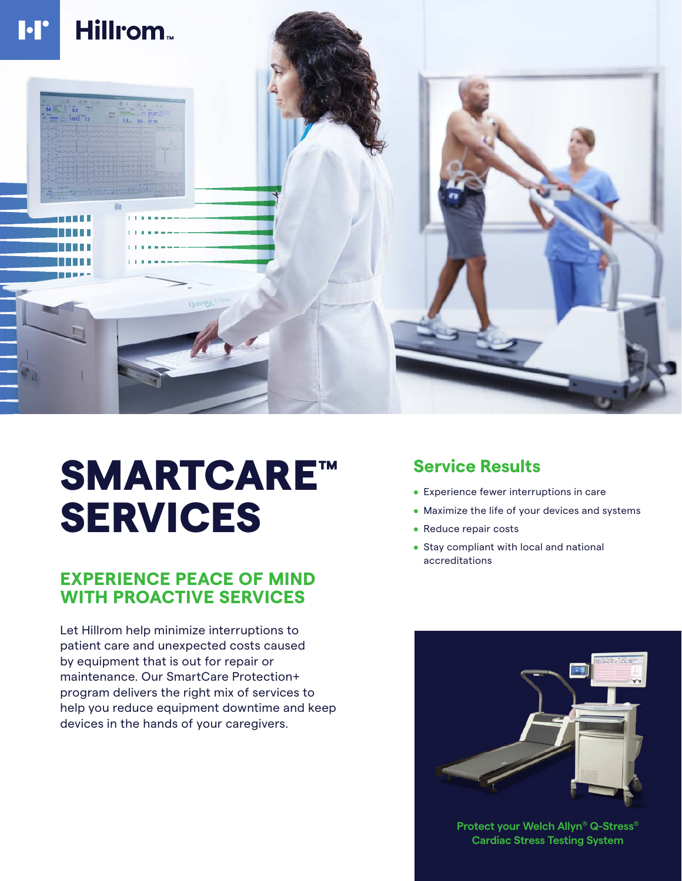

# SMARTCARE™ SERVICES

## **EXPERIENCE PEACE OF MIND WITH PROACTIVE SERVICES**

Let Hillrom help minimize interruptions to patient care and unexpected costs caused by equipment that is out for repair or maintenance. Our SmartCare Protection+ program delivers the right mix of services to help you reduce equipment downtime and keep devices in the hands of your caregivers.

## **Service Results**

- Experience fewer interruptions in care
- Maximize the life of your devices and systems
- Reduce repair costs
- Stay compliant with local and national accreditations



**Protect your Welch Allyn® Q-Stress® Cardiac Stress Testing System**